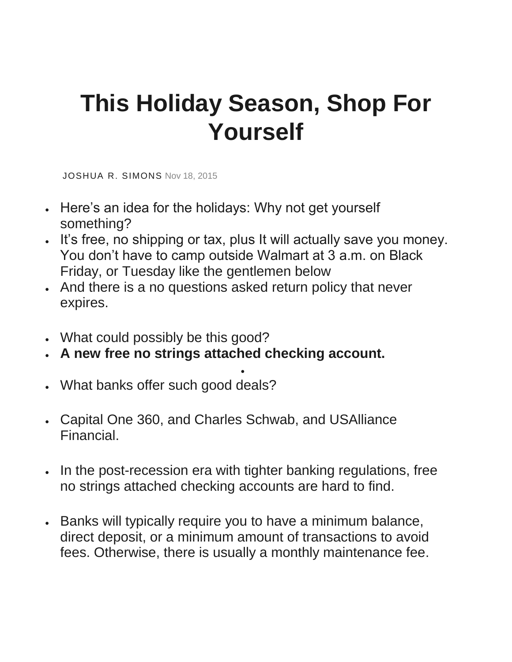## **This Holiday Season, Shop For Yourself**

[JOSHUA](https://www.slantnews.com/user/ddda68af-a645-4074-afd2-eae89e7f2fcf) R. SIMONS Nov 18, 2015

- Here's an idea for the holidays: Why not get yourself something?
- It's free, no shipping or tax, plus It will actually save you money. You don't have to camp outside Walmart at 3 a.m. on Black Friday, or Tuesday like the gentlemen below
- And there is a no questions asked return policy that never expires.
- What could possibly be this good?
- **A new free no strings attached checking account.**
- What banks offer such good deals?
- Capital One 360, and Charles Schwab, and USAlliance Financial.
- In the post-recession era with tighter banking regulations, free no strings attached checking accounts are hard to find.

•

• Banks will typically require you to have a minimum balance, direct deposit, or a minimum amount of transactions to avoid fees. Otherwise, there is usually a monthly maintenance fee.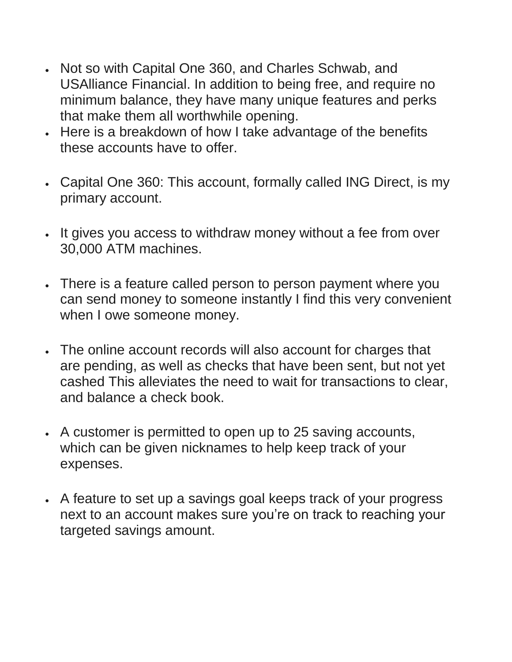- Not so with Capital One 360, and Charles Schwab, and USAlliance Financial. In addition to being free, and require no minimum balance, they have many unique features and perks that make them all worthwhile opening.
- Here is a breakdown of how I take advantage of the benefits these accounts have to offer.
- Capital One 360: This account, formally called ING Direct, is my primary account.
- It gives you access to withdraw money without a fee from over 30,000 ATM machines.
- There is a feature called person to person payment where you can send money to someone instantly I find this very convenient when I owe someone money.
- The online account records will also account for charges that are pending, as well as checks that have been sent, but not yet cashed This alleviates the need to wait for transactions to clear, and balance a check book.
- A customer is permitted to open up to 25 saving accounts, which can be given nicknames to help keep track of your expenses.
- A feature to set up a savings goal keeps track of your progress next to an account makes sure you're on track to reaching your targeted savings amount.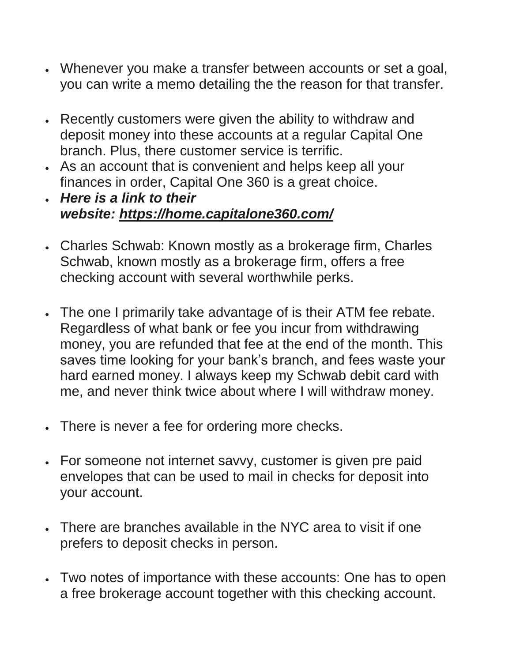- Whenever you make a transfer between accounts or set a goal, you can write a memo detailing the the reason for that transfer.
- Recently customers were given the ability to withdraw and deposit money into these accounts at a regular Capital One branch. Plus, there customer service is terrific.
- As an account that is convenient and helps keep all your finances in order, Capital One 360 is a great choice.
- *Here is a link to their website: <https://home.capitalone360.com/>*
- Charles Schwab: Known mostly as a brokerage firm, Charles Schwab, known mostly as a brokerage firm, offers a free checking account with several worthwhile perks.
- The one I primarily take advantage of is their ATM fee rebate. Regardless of what bank or fee you incur from withdrawing money, you are refunded that fee at the end of the month. This saves time looking for your bank's branch, and fees waste your hard earned money. I always keep my Schwab debit card with me, and never think twice about where I will withdraw money.
- There is never a fee for ordering more checks.
- For someone not internet savvy, customer is given pre paid envelopes that can be used to mail in checks for deposit into your account.
- There are branches available in the NYC area to visit if one prefers to deposit checks in person.
- Two notes of importance with these accounts: One has to open a free brokerage account together with this checking account.